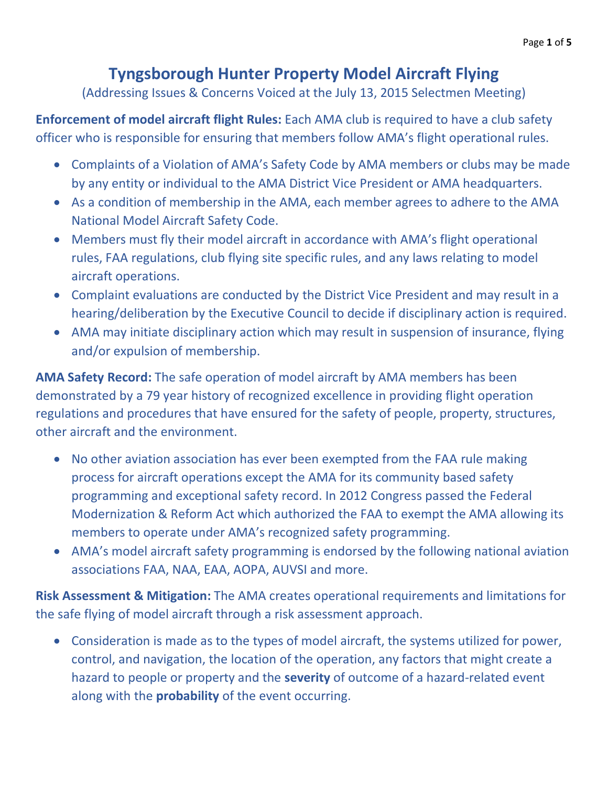## **Tyngsborough Hunter Property Model Aircraft Flying**

(Addressing Issues & Concerns Voiced at the July 13, 2015 Selectmen Meeting)

**Enforcement of model aircraft flight Rules:** Each AMA club is required to have a club safety officer who is responsible for ensuring that members follow AMA's flight operational rules.

- Complaints of a Violation of AMA's Safety Code by AMA members or clubs may be made by any entity or individual to the AMA District Vice President or AMA headquarters.
- As a condition of membership in the AMA, each member agrees to adhere to the AMA National Model Aircraft Safety Code.
- Members must fly their model aircraft in accordance with AMA's flight operational rules, FAA regulations, club flying site specific rules, and any laws relating to model aircraft operations.
- Complaint evaluations are conducted by the District Vice President and may result in a hearing/deliberation by the Executive Council to decide if disciplinary action is required.
- AMA may initiate disciplinary action which may result in suspension of insurance, flying and/or expulsion of membership.

**AMA Safety Record:** The safe operation of model aircraft by AMA members has been demonstrated by a 79 year history of recognized excellence in providing flight operation regulations and procedures that have ensured for the safety of people, property, structures, other aircraft and the environment.

- No other aviation association has ever been exempted from the FAA rule making process for aircraft operations except the AMA for its community based safety programming and exceptional safety record. In 2012 Congress passed the Federal Modernization & Reform Act which authorized the FAA to exempt the AMA allowing its members to operate under AMA's recognized safety programming.
- AMA's model aircraft safety programming is endorsed by the following national aviation associations FAA, NAA, EAA, AOPA, AUVSI and more.

**Risk Assessment & Mitigation:** The AMA creates operational requirements and limitations for the safe flying of model aircraft through a risk assessment approach.

 Consideration is made as to the types of model aircraft, the systems utilized for power, control, and navigation, the location of the operation, any factors that might create a hazard to people or property and the **severity** of outcome of a hazard-related event along with the **probability** of the event occurring.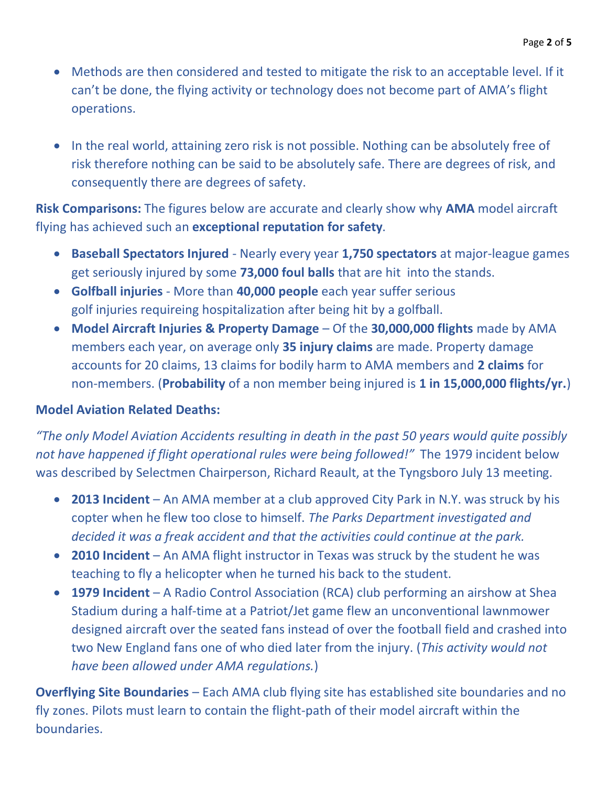- Methods are then considered and tested to mitigate the risk to an acceptable level. If it can't be done, the flying activity or technology does not become part of AMA's flight operations.
- In the real world, attaining zero risk is not possible. Nothing can be absolutely free of risk therefore nothing can be said to be absolutely safe. There are degrees of risk, and consequently there are degrees of safety.

**Risk Comparisons:** The figures below are accurate and clearly show why **AMA** model aircraft flying has achieved such an **exceptional reputation for safety**.

- **Baseball Spectators Injured**  Nearly every year **1,750 spectators** at major-league games get seriously injured by some **73,000 foul balls** that are hit into the stands.
- **Golfball injuries**  More than **40,000 people** each year suffer serious golf injuries requireing hospitalization after being hit by a golfball.
- **Model Aircraft Injuries & Property Damage** Of the **30,000,000 flights** made by AMA members each year, on average only **35 injury claims** are made. Property damage accounts for 20 claims, 13 claims for bodily harm to AMA members and **2 claims** for non-members. (**Probability** of a non member being injured is **1 in 15,000,000 flights/yr.**)

## **Model Aviation Related Deaths:**

*"The only Model Aviation Accidents resulting in death in the past 50 years would quite possibly not have happened if flight operational rules were being followed!"* The 1979 incident below was described by Selectmen Chairperson, Richard Reault, at the Tyngsboro July 13 meeting.

- **2013 Incident** An AMA member at a club approved City Park in N.Y. was struck by his copter when he flew too close to himself. *The Parks Department investigated and decided it was a freak accident and that the activities could continue at the park.*
- **2010 Incident**  An AMA flight instructor in Texas was struck by the student he was teaching to fly a helicopter when he turned his back to the student.
- **1979 Incident**  A Radio Control Association (RCA) club performing an airshow at Shea Stadium during a half-time at a Patriot/Jet game flew an unconventional lawnmower designed aircraft over the seated fans instead of over the football field and crashed into two New England fans one of who died later from the injury. (*This activity would not have been allowed under AMA regulations.*)

**Overflying Site Boundaries** – Each AMA club flying site has established site boundaries and no fly zones. Pilots must learn to contain the flight-path of their model aircraft within the boundaries.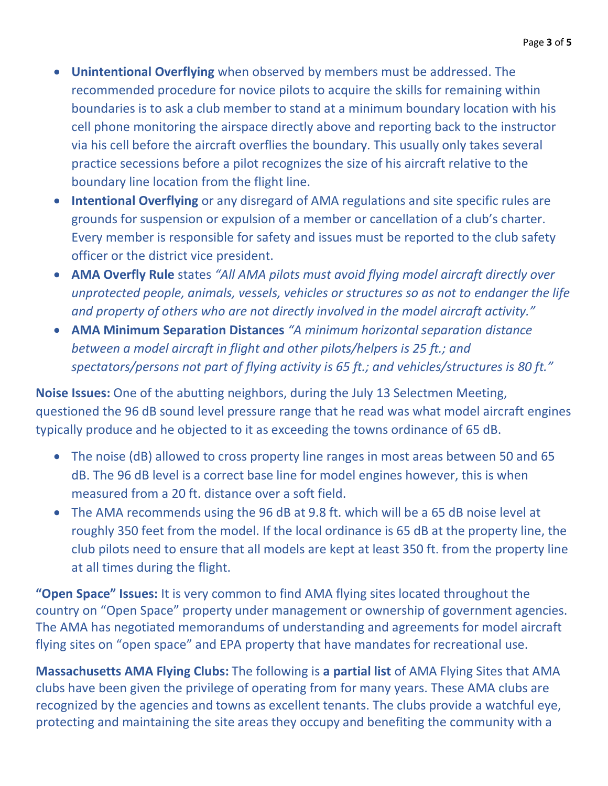- **Unintentional Overflying** when observed by members must be addressed. The recommended procedure for novice pilots to acquire the skills for remaining within boundaries is to ask a club member to stand at a minimum boundary location with his cell phone monitoring the airspace directly above and reporting back to the instructor via his cell before the aircraft overflies the boundary. This usually only takes several practice secessions before a pilot recognizes the size of his aircraft relative to the boundary line location from the flight line.
- **Intentional Overflying** or any disregard of AMA regulations and site specific rules are grounds for suspension or expulsion of a member or cancellation of a club's charter. Every member is responsible for safety and issues must be reported to the club safety officer or the district vice president.
- **AMA Overfly Rule** states *"All AMA pilots must avoid flying model aircraft directly over unprotected people, animals, vessels, vehicles or structures so as not to endanger the life and property of others who are not directly involved in the model aircraft activity."*
- **AMA Minimum Separation Distances** *"A minimum horizontal separation distance between a model aircraft in flight and other pilots/helpers is 25 ft.; and spectators/persons not part of flying activity is 65 ft.; and vehicles/structures is 80 ft."*

**Noise Issues:** One of the abutting neighbors, during the July 13 Selectmen Meeting, questioned the 96 dB sound level pressure range that he read was what model aircraft engines typically produce and he objected to it as exceeding the towns ordinance of 65 dB.

- The noise (dB) allowed to cross property line ranges in most areas between 50 and 65 dB. The 96 dB level is a correct base line for model engines however, this is when measured from a 20 ft. distance over a soft field.
- The AMA recommends using the 96 dB at 9.8 ft. which will be a 65 dB noise level at roughly 350 feet from the model. If the local ordinance is 65 dB at the property line, the club pilots need to ensure that all models are kept at least 350 ft. from the property line at all times during the flight.

**"Open Space" Issues:** It is very common to find AMA flying sites located throughout the country on "Open Space" property under management or ownership of government agencies. The AMA has negotiated memorandums of understanding and agreements for model aircraft flying sites on "open space" and EPA property that have mandates for recreational use.

**Massachusetts AMA Flying Clubs:** The following is **a partial list** of AMA Flying Sites that AMA clubs have been given the privilege of operating from for many years. These AMA clubs are recognized by the agencies and towns as excellent tenants. The clubs provide a watchful eye, protecting and maintaining the site areas they occupy and benefiting the community with a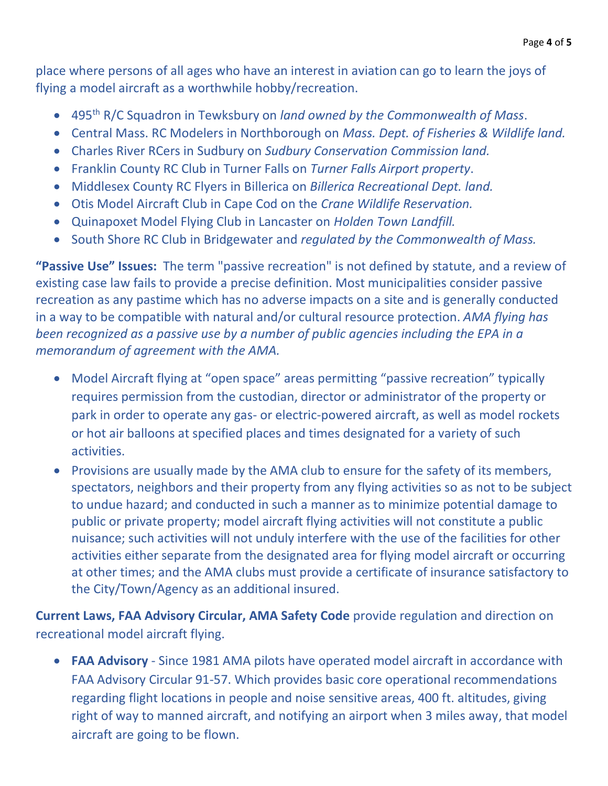place where persons of all ages who have an interest in aviation can go to learn the joys of flying a model aircraft as a worthwhile hobby/recreation.

- 495th R/C Squadron in Tewksbury on *land owned by the Commonwealth of Mass*.
- Central Mass. RC Modelers in Northborough on *Mass. Dept. of Fisheries & Wildlife land.*
- Charles River RCers in Sudbury on *Sudbury Conservation Commission land.*
- Franklin County RC Club in Turner Falls on *Turner Falls Airport property*.
- Middlesex County RC Flyers in Billerica on *Billerica Recreational Dept. land.*
- Otis Model Aircraft Club in Cape Cod on the *Crane Wildlife Reservation.*
- Quinapoxet Model Flying Club in Lancaster on *Holden Town Landfill.*
- South Shore RC Club in Bridgewater and *regulated by the Commonwealth of Mass.*

**"Passive Use" Issues:** The term "passive recreation" is not defined by statute, and a review of existing case law fails to provide a precise definition. Most municipalities consider passive recreation as any pastime which has no adverse impacts on a site and is generally conducted in a way to be compatible with natural and/or cultural resource protection. *AMA flying has been recognized as a passive use by a number of public agencies including the EPA in a memorandum of agreement with the AMA.* 

- Model Aircraft flying at "open space" areas permitting "passive recreation" typically requires permission from the custodian, director or administrator of the property or park in order to operate any gas- or electric-powered aircraft, as well as model rockets or hot air balloons at specified places and times designated for a variety of such activities.
- Provisions are usually made by the AMA club to ensure for the safety of its members, spectators, neighbors and their property from any flying activities so as not to be subject to undue hazard; and conducted in such a manner as to minimize potential damage to public or private property; model aircraft flying activities will not constitute a public nuisance; such activities will not unduly interfere with the use of the facilities for other activities either separate from the designated area for flying model aircraft or occurring at other times; and the AMA clubs must provide a certificate of insurance satisfactory to the City/Town/Agency as an additional insured.

**Current Laws, FAA Advisory Circular, AMA Safety Code** provide regulation and direction on recreational model aircraft flying.

 **FAA Advisory** - Since 1981 AMA pilots have operated model aircraft in accordance with FAA Advisory Circular 91-57. Which provides basic core operational recommendations regarding flight locations in people and noise sensitive areas, 400 ft. altitudes, giving right of way to manned aircraft, and notifying an airport when 3 miles away, that model aircraft are going to be flown.